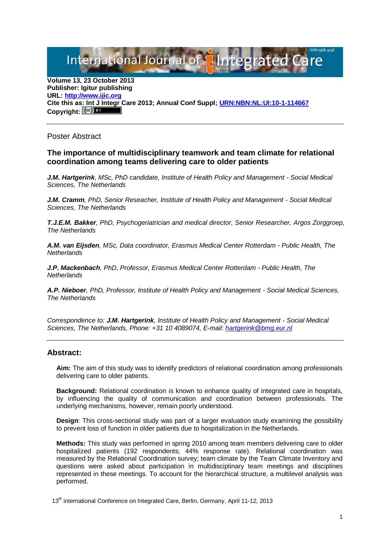International Journal of **Plntegrated** 

**Volume 13, 23 October 2013 Publisher: Igitur publishing URL[: http://www.ijic.org](http://www.ijic.org/) Cite this as: Int J Integr Care 2013; Annual Conf Suppl; [URN:NBN:NL:UI:10-1-114667](http://persistent-identifier.nl/?identifier=URN:NBN:NL:UI:10-1-114667)** Copyright:  $(cc)$  BY

Poster Abstract

## **The importance of multidisciplinary teamwork and team climate for relational coordination among teams delivering care to older patients**

*J.M. Hartgerink, MSc, PhD candidate, Institute of Health Policy and Management - Social Medical Sciences, The Netherlands*

*J.M. Cramm, PhD, Senior Reseacher, Institute of Health Policy and Management - Social Medical Sciences, The Netherlands*

*T.J.E.M. Bakker, PhD, Psychogeriatrician and medical director, Senior Researcher, Argos Zorggroep, The Netherlands*

*A.M. van Eijsden, MSc, Data coordinator, Erasmus Medical Center Rotterdam - Public Health, The Netherlands*

*J.P. Mackenbach, PhD, Professor, Erasmus Medical Center Rotterdam - Public Health, The Netherlands*

*A.P. Nieboer, PhD, Professor, Institute of Health Policy and Management - Social Medical Sciences, The Netherlands*

*Correspondence to: J.M. Hartgerink, Institute of Health Policy and Management - Social Medical Sciences, The Netherlands, Phone: +31 10 4089074, E-mail: [hartgerink@bmg.eur.nl](mailto:hartgerink@bmg.eur.nl)*

## **Abstract:**

**Aim:** The aim of this study was to identify predictors of relational coordination among professionals delivering care to older patients.

**Background:** Relational coordination is known to enhance quality of integrated care in hospitals, by influencing the quality of communication and coordination between professionals. The underlying mechanisms, however, remain poorly understood.

**Design**: This cross-sectional study was part of a larger evaluation study examining the possibility to prevent loss of function in older patients due to hospitalization in the Netherlands.

**Methods:** This study was performed in spring 2010 among team members delivering care to older hospitalized patients (192 respondents; 44% response rate). Relational coordination was measured by the Relational Coordination survey; team climate by the Team Climate Inventory and questions were asked about participation in multidisciplinary team meetings and disciplines represented in these meetings. To account for the hierarchical structure, a multilevel analysis was performed.

13<sup>th</sup> international Conference on Integrated Care, Berlin, Germany, April 11-12, 2013